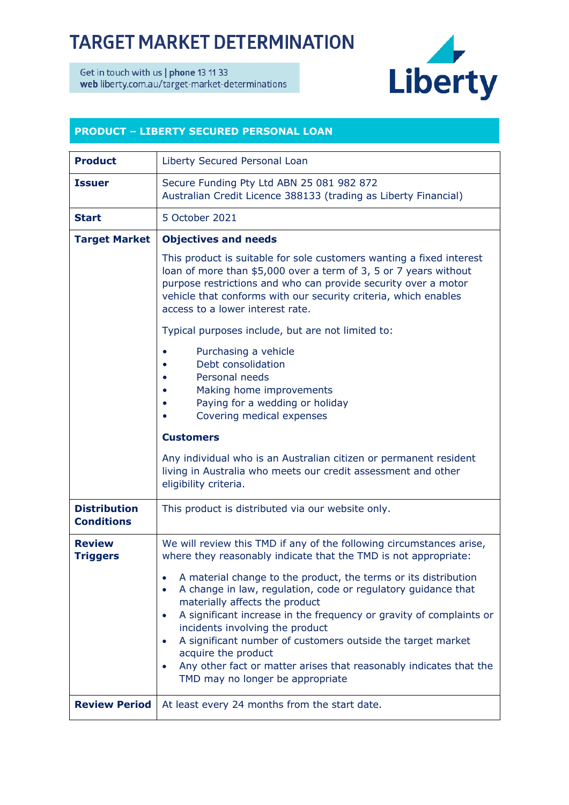## **TARGET MARKET DETERMINATION**

Get in touch with us | phone 13 11 33 web liberty.com.au/target-market-determinations



## **PRODUCT – LIBERTY SECURED PERSONAL LOAN**

| <b>Product</b>                           | Liberty Secured Personal Loan                                                                                                                                                                                                                                                                                                                                                                                                                                                                                       |
|------------------------------------------|---------------------------------------------------------------------------------------------------------------------------------------------------------------------------------------------------------------------------------------------------------------------------------------------------------------------------------------------------------------------------------------------------------------------------------------------------------------------------------------------------------------------|
| <b>Issuer</b>                            | Secure Funding Pty Ltd ABN 25 081 982 872<br>Australian Credit Licence 388133 (trading as Liberty Financial)                                                                                                                                                                                                                                                                                                                                                                                                        |
| <b>Start</b>                             | 5 October 2021                                                                                                                                                                                                                                                                                                                                                                                                                                                                                                      |
| <b>Target Market</b>                     | <b>Objectives and needs</b>                                                                                                                                                                                                                                                                                                                                                                                                                                                                                         |
|                                          | This product is suitable for sole customers wanting a fixed interest<br>loan of more than \$5,000 over a term of 3, 5 or 7 years without<br>purpose restrictions and who can provide security over a motor<br>vehicle that conforms with our security criteria, which enables<br>access to a lower interest rate.                                                                                                                                                                                                   |
|                                          | Typical purposes include, but are not limited to:                                                                                                                                                                                                                                                                                                                                                                                                                                                                   |
|                                          | Purchasing a vehicle<br>Debt consolidation<br>Personal needs<br>Making home improvements<br>Paying for a wedding or holiday<br>Covering medical expenses                                                                                                                                                                                                                                                                                                                                                            |
|                                          | <b>Customers</b>                                                                                                                                                                                                                                                                                                                                                                                                                                                                                                    |
|                                          | Any individual who is an Australian citizen or permanent resident<br>living in Australia who meets our credit assessment and other<br>eligibility criteria.                                                                                                                                                                                                                                                                                                                                                         |
| <b>Distribution</b><br><b>Conditions</b> | This product is distributed via our website only.                                                                                                                                                                                                                                                                                                                                                                                                                                                                   |
| <b>Review</b><br><b>Triggers</b>         | We will review this TMD if any of the following circumstances arise,<br>where they reasonably indicate that the TMD is not appropriate:                                                                                                                                                                                                                                                                                                                                                                             |
|                                          | A material change to the product, the terms or its distribution<br>A change in law, regulation, code or regulatory guidance that<br>$\bullet$<br>materially affects the product<br>A significant increase in the frequency or gravity of complaints or<br>$\bullet$<br>incidents involving the product<br>A significant number of customers outside the target market<br>acquire the product<br>Any other fact or matter arises that reasonably indicates that the<br>$\bullet$<br>TMD may no longer be appropriate |
| <b>Review Period</b>                     | At least every 24 months from the start date.                                                                                                                                                                                                                                                                                                                                                                                                                                                                       |